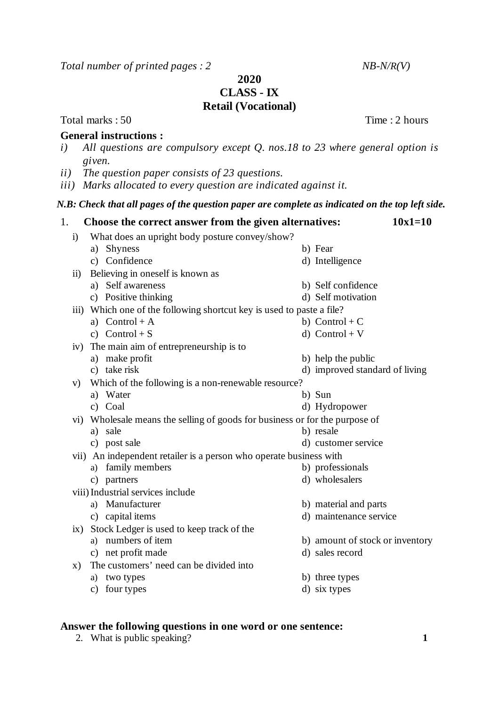*Total number of printed pages : 2 NB-N/R(V)*

**2020**

**CLASS - IX**

## **Retail (Vocational)**

Total marks : 50 Time : 2 hours

## **General instructions :**

- *i) All questions are compulsory except Q. nos.18 to 23 where general option is given.*
- *ii) The question paper consists of 23 questions.*
- *iii) Marks allocated to every question are indicated against it.*

## *N.B: Check that all pages of the question paper are complete as indicated on the top left side.*

- 1. **Choose the correct answer from the given alternatives: 10x1=10** i) What does an upright body posture convey/show? a) Shyness b) Fear c) Confidence d) Intelligence ii) Believing in oneself is known as a) Self awareness b) Self confidence c) Positive thinking d) Self motivation iii) Which one of the following shortcut key is used to paste a file? a)  $Control + A$  b)  $Control + C$ c)  $Control + S$  d)  $Control + V$ iv) The main aim of entrepreneurship is to a) make profit b) help the public c) take risk d) improved standard of living v) Which of the following is a non-renewable resource? a) Water b) Sun c) Coal d) Hydropower vi) Wholesale means the selling of goods for business or for the purpose of a) sale b) resale c) post sale d) customer service vii) An independent retailer is a person who operate business with a) family members b) professionals c) partners d) wholesalers viii)Industrial services include a) Manufacturer b) material and parts
	-
	- ix) Stock Ledger is used to keep track of the
		-
		-
	- x) The customers' need can be divided into
		- a) two types b) three types
		- c) four types d) six types
- 
- 

## **Answer the following questions in one word or one sentence:**

2. What is public speaking? **1** 

- c) capital items d) maintenance service
- a) numbers of item b) amount of stock or inventory
- c) net profit made d) sales record
-